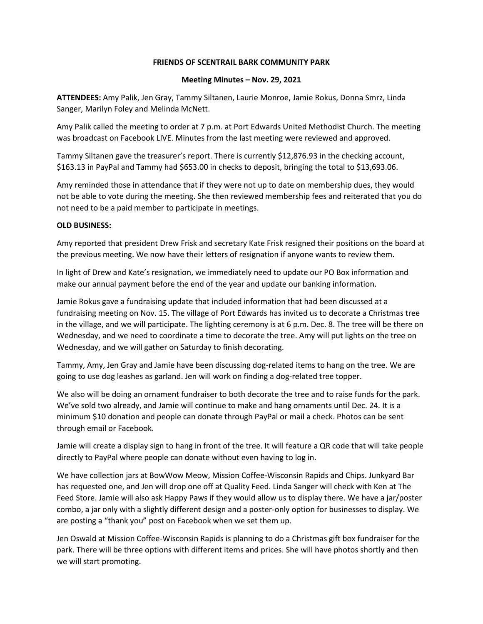## **FRIENDS OF SCENTRAIL BARK COMMUNITY PARK**

## **Meeting Minutes – Nov. 29, 2021**

**ATTENDEES:** Amy Palik, Jen Gray, Tammy Siltanen, Laurie Monroe, Jamie Rokus, Donna Smrz, Linda Sanger, Marilyn Foley and Melinda McNett.

Amy Palik called the meeting to order at 7 p.m. at Port Edwards United Methodist Church. The meeting was broadcast on Facebook LIVE. Minutes from the last meeting were reviewed and approved.

Tammy Siltanen gave the treasurer's report. There is currently \$12,876.93 in the checking account, \$163.13 in PayPal and Tammy had \$653.00 in checks to deposit, bringing the total to \$13,693.06.

Amy reminded those in attendance that if they were not up to date on membership dues, they would not be able to vote during the meeting. She then reviewed membership fees and reiterated that you do not need to be a paid member to participate in meetings.

## **OLD BUSINESS:**

Amy reported that president Drew Frisk and secretary Kate Frisk resigned their positions on the board at the previous meeting. We now have their letters of resignation if anyone wants to review them.

In light of Drew and Kate's resignation, we immediately need to update our PO Box information and make our annual payment before the end of the year and update our banking information.

Jamie Rokus gave a fundraising update that included information that had been discussed at a fundraising meeting on Nov. 15. The village of Port Edwards has invited us to decorate a Christmas tree in the village, and we will participate. The lighting ceremony is at 6 p.m. Dec. 8. The tree will be there on Wednesday, and we need to coordinate a time to decorate the tree. Amy will put lights on the tree on Wednesday, and we will gather on Saturday to finish decorating.

Tammy, Amy, Jen Gray and Jamie have been discussing dog-related items to hang on the tree. We are going to use dog leashes as garland. Jen will work on finding a dog-related tree topper.

We also will be doing an ornament fundraiser to both decorate the tree and to raise funds for the park. We've sold two already, and Jamie will continue to make and hang ornaments until Dec. 24. It is a minimum \$10 donation and people can donate through PayPal or mail a check. Photos can be sent through email or Facebook.

Jamie will create a display sign to hang in front of the tree. It will feature a QR code that will take people directly to PayPal where people can donate without even having to log in.

We have collection jars at BowWow Meow, Mission Coffee-Wisconsin Rapids and Chips. Junkyard Bar has requested one, and Jen will drop one off at Quality Feed. Linda Sanger will check with Ken at The Feed Store. Jamie will also ask Happy Paws if they would allow us to display there. We have a jar/poster combo, a jar only with a slightly different design and a poster-only option for businesses to display. We are posting a "thank you" post on Facebook when we set them up.

Jen Oswald at Mission Coffee-Wisconsin Rapids is planning to do a Christmas gift box fundraiser for the park. There will be three options with different items and prices. She will have photos shortly and then we will start promoting.